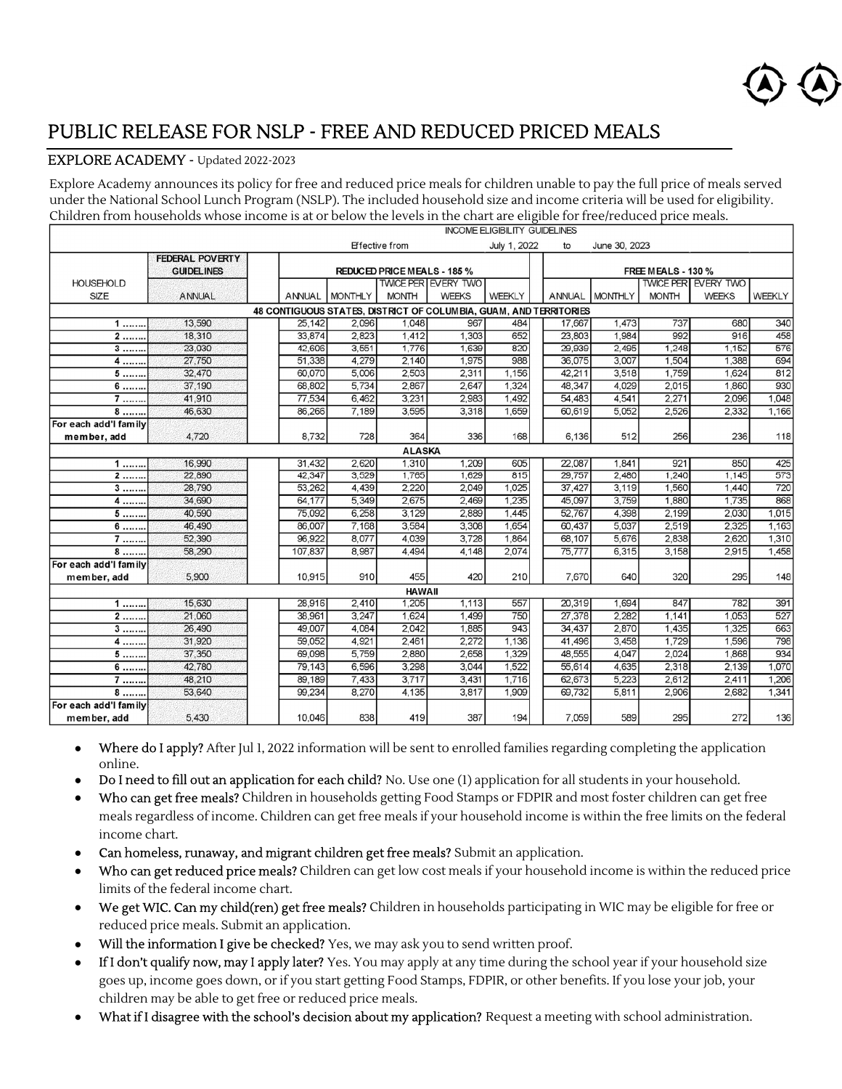

## PUBLIC RELEASE FOR NSLP - FREE AND REDUCED PRICED MEALS

## EXPLORE ACADEMY - Updated 2022-2023

Explore Academy announces its policy for free and reduced price meals for children unable to pay the full price of meals served under the National School Lunch Program (NSLP). The included household size and income criteria will be used for eligibility. Children from households whose income is at or below the levels in the chart are eligible for free/reduced price meals.

|                                      | <b>INCOME ELIGIBILITY GUIDELINES</b>        |                                                                   |                                                          |                       |                            |              |        |                |              |                            |        |
|--------------------------------------|---------------------------------------------|-------------------------------------------------------------------|----------------------------------------------------------|-----------------------|----------------------------|--------------|--------|----------------|--------------|----------------------------|--------|
|                                      |                                             |                                                                   |                                                          | <b>Effective from</b> |                            | July 1, 2022 | to     | June 30, 2023  |              |                            |        |
|                                      | <b>FEDERAL POVERTY</b><br><b>GUIDELINES</b> |                                                                   | <b>FREE MEALS - 130 %</b><br>REDUCED PRICE MEALS - 185 % |                       |                            |              |        |                |              |                            |        |
| <b>HOUSEHOLD</b>                     |                                             |                                                                   |                                                          |                       | <b>TWICE PER EVERY TWO</b> |              |        |                |              | <b>TWICE PER EVERY TWO</b> |        |
| SIZE                                 | <b>ANNUAL</b>                               | ANNUAL                                                            | <b>MONTHLY</b>                                           | <b>MONTH</b>          | <b>WEEKS</b>               | WEEKLY       | ANNUAL | <b>MONTHLY</b> | <b>MONTH</b> | <b>WEEKS</b>               | WEEKLY |
|                                      |                                             | 48 CONTIGUOUS STATES, DISTRICT OF COLUMBIA, GUAM, AND TERRITORIES |                                                          |                       |                            |              |        |                |              |                            |        |
| 1                                    | 13,590                                      | 25,142                                                            | 2,096                                                    | 1,048                 | 967                        | 484          | 17,667 | 1,473          | 737          | 680                        | 340    |
| 2                                    | 18,310                                      | 33,874                                                            | 2.823                                                    | 1,412                 | 1,303                      | 652          | 23,803 | 1,984          | 992          | 916                        | 458    |
| $3$                                  | 23,030                                      | 42,606                                                            | 3,551                                                    | 1,776                 | 1,639                      | 820          | 29,939 | 2,495          | 1,248        | 1,152                      | 576    |
| $4$                                  | 27,750                                      | 51,338                                                            | 4,279                                                    | 2,140                 | 1,975                      | 988          | 36,075 | 3,007          | 1,504        | 1,388                      | 694    |
| 5                                    | 32,470                                      | 60,070                                                            | 5,006                                                    | 2,503                 | 2,311                      | 1,156        | 42,211 | 3,518          | 1,759        | 1,624                      | 812    |
| $6$                                  | 37,190                                      | 68,802                                                            | 5,734                                                    | 2,867                 | 2,647                      | 1,324        | 48,347 | 4,029          | 2,015        | 1,860                      | 930    |
| $\overline{7}$                       | 41,910                                      | 77,534                                                            | 6,462                                                    | 3,231                 | 2,983                      | 1,492        | 54,483 | 4,541          | 2,271        | 2,096                      | 1,048  |
| 8                                    | 46,630                                      | 86,266                                                            | 7,189                                                    | 3,595                 | 3,318                      | 1,659        | 60,619 | 5,052          | 2,526        | 2,332                      | 1,166  |
| For each add'l family<br>member, add | 4,720                                       | 8,732                                                             | 728                                                      | 364                   | 336                        | 168          | 6,136  | 512            | 256          | 236                        | 118    |
|                                      |                                             |                                                                   |                                                          | <b>ALASKA</b>         |                            |              |        |                |              |                            |        |
| 1                                    | 16,990                                      | 31,432                                                            | 2.620                                                    | 1,310                 | 1.209                      | 605          | 22.087 | 1.841          | 921          | 850                        | 425    |
| $2$                                  | 22,890                                      | 42,347                                                            | 3,529                                                    | 1,765                 | 1,629                      | 815          | 29,757 | 2.480          | 1,240        | 1,145                      | 573    |
| 3                                    | 28,790                                      | 53,262                                                            | 4,439                                                    | 2,220                 | 2.049                      | 1,025        | 37,427 | 3,119          | 1,560        | 1,440                      | 720    |
| $4$                                  | 34,690                                      | 64.177                                                            | 5.349                                                    | 2.675                 | 2.469                      | 1,235        | 45,097 | 3,759          | 1,880        | 1.735                      | 868    |
| $5$                                  | 40,590                                      | 75.092                                                            | 6.258                                                    | 3.129                 | 2,889                      | 1.445        | 52,767 | 4.398          | 2,199        | 2,030                      | 1,015  |
| $6$                                  | 46,490                                      | 86,007                                                            | 7,168                                                    | 3,584                 | 3,308                      | 1,654        | 60,437 | 5,037          | 2,519        | 2,325                      | 1,163  |
| 7                                    | 52,390                                      | 96.922                                                            | 8.077                                                    | 4,039                 | 3.728                      | 1,864        | 68,107 | 5.676          | 2.838        | 2.620                      | 1,310  |
| 8                                    | 58,290                                      | 107,837                                                           | 8,987                                                    | 4,494                 | 4.148                      | 2,074        | 75,777 | 6,315          | 3,158        | 2,915                      | 1,458  |
| For each add'I family<br>member, add | 5,900                                       | 10,915                                                            | 910                                                      | 455                   | 420                        | 210          | 7,670  | 640            | 320          | 295                        | 148    |
|                                      |                                             |                                                                   |                                                          | <b>HAWAII</b>         |                            |              |        |                |              |                            |        |
| $1$                                  | 15,630                                      | 28,916                                                            | 2,410                                                    | 1,205                 | 1,113                      | 557          | 20,319 | 1,694          | 847          | 782                        | 391    |
| $2$                                  | 21,060                                      | 38,961                                                            | 3.247                                                    | 1.624                 | 1,499                      | 750          | 27,378 | 2.282          | 1,141        | 1,053                      | 527    |
| $3$                                  | 26,490                                      | 49,007                                                            | 4.084                                                    | 2,042                 | 1,885                      | 943          | 34,437 | 2.870          | 1,435        | 1,325                      | 663    |
| 4                                    | 31,920                                      | 59,052                                                            | 4,921                                                    | 2,461                 | 2,272                      | 1,136        | 41,496 | 3,458          | 1,729        | 1,596                      | 798    |
| 5                                    | 37,350                                      | 69.098                                                            | 5,759                                                    | 2.880                 | 2.658                      | 1,329        | 48,555 | 4.047          | 2,024        | 1.868                      | 934    |
| 6                                    | 42,780                                      | 79.143                                                            | 6,596                                                    | 3,298                 | 3,044                      | 1,522        | 55,614 | 4,635          | 2,318        | 2,139                      | 1,070  |
| $7$                                  | 48,210                                      | 89,189                                                            | 7,433                                                    | 3,717                 | 3,431                      | 1,716        | 62,673 | 5,223          | 2,612        | 2,411                      | 1,206  |
| 8                                    | 53,640                                      | 99,234                                                            | 8,270                                                    | 4,135                 | 3,817                      | 1,909        | 69,732 | 5,811          | 2,906        | 2,682                      | 1,341  |
| For each add'l family<br>member, add | 5.430                                       | 10.046                                                            | 838                                                      | 419                   | 387                        | 194          | 7,059  | 589            | 295          | 272                        | 136    |

- Where do I apply? After Jul 1, 2022 information will be sent to enrolled families regarding completing the application online.
- Do I need to fill out an application for each child? No. Use one (1) application for all students in your household.
- Who can get free meals? Children in households getting Food Stamps or FDPIR and most foster children can get free meals regardless of income. Children can get free meals if your household income is within the free limits on the federal income chart.
- Can homeless, runaway, and migrant children get free meals? Submit an application.
- Who can get reduced price meals? Children can get low cost meals if your household income is within the reduced price limits of the federal income chart.
- We get WIC. Can my child(ren) get free meals? Children in households participating in WIC may be eligible for free or reduced price meals. Submit an application.
- Will the information I give be checked? Yes, we may ask you to send written proof.
- If I don't qualify now, may I apply later? Yes. You may apply at any time during the school year if your household size goes up, income goes down, or if you start getting Food Stamps, FDPIR, or other benefits. If you lose your job, your children may be able to get free or reduced price meals.
- What if I disagree with the school's decision about my application? Request a meeting with school administration.